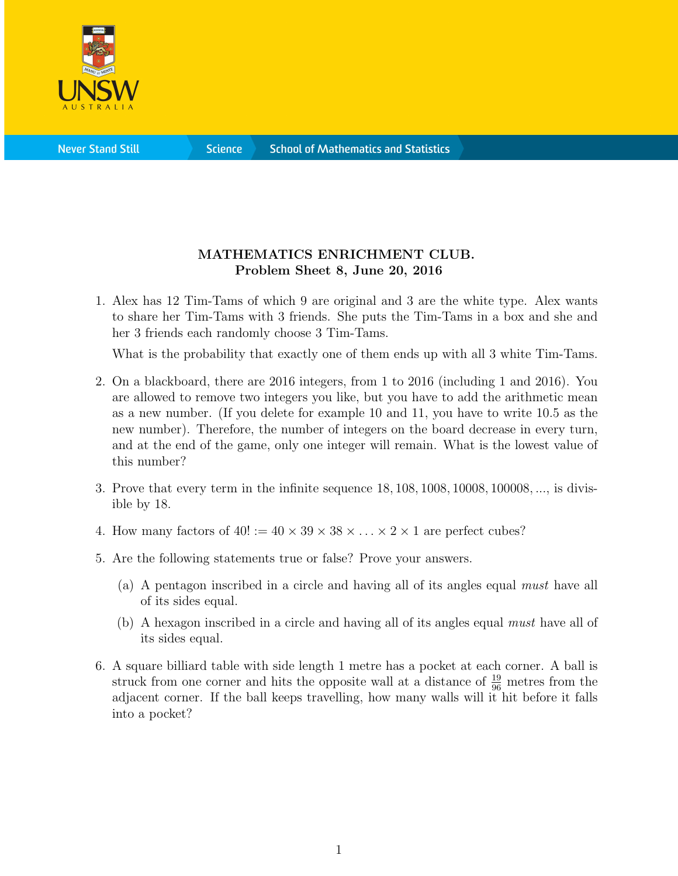

**Science** 

## MATHEMATICS ENRICHMENT CLUB. Problem Sheet 8, June 20, 2016

1. Alex has 12 Tim-Tams of which 9 are original and 3 are the white type. Alex wants to share her Tim-Tams with 3 friends. She puts the Tim-Tams in a box and she and her 3 friends each randomly choose 3 Tim-Tams.

What is the probability that exactly one of them ends up with all 3 white Tim-Tams.

- 2. On a blackboard, there are 2016 integers, from 1 to 2016 (including 1 and 2016). You are allowed to remove two integers you like, but you have to add the arithmetic mean as a new number. (If you delete for example 10 and 11, you have to write 10.5 as the new number). Therefore, the number of integers on the board decrease in every turn, and at the end of the game, only one integer will remain. What is the lowest value of this number?
- 3. Prove that every term in the infinite sequence 18, 108, 1008, 10008, 100008, ..., is divisible by 18.
- 4. How many factors of  $40! := 40 \times 39 \times 38 \times \ldots \times 2 \times 1$  are perfect cubes?
- 5. Are the following statements true or false? Prove your answers.
	- (a) A pentagon inscribed in a circle and having all of its angles equal must have all of its sides equal.
	- (b) A hexagon inscribed in a circle and having all of its angles equal must have all of its sides equal.
- 6. A square billiard table with side length 1 metre has a pocket at each corner. A ball is struck from one corner and hits the opposite wall at a distance of  $\frac{19}{96}$  metres from the adjacent corner. If the ball keeps travelling, how many walls will it hit before it falls into a pocket?